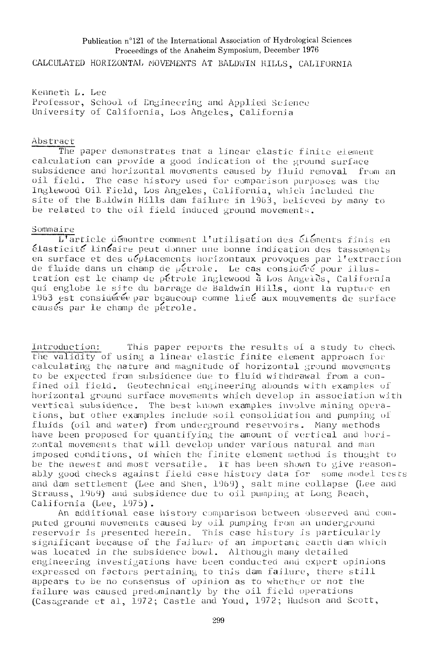## Publication n°121 of the International Association of Hydrological Sciences Proceedings of the Anaheim Symposium, December 1976 CALCULATED HORIZONTAL MOVEMENTS AT BALDWIN HILLS, CALIFORNIA

Kenneth. L. Leo Professor, School of Engineering and Applied Science University of California, Los Angeles, California

## Abstract

The paper demonstrates that a linear elastic finite element calculation can provide a good indication of the ground surface subsidence and horizontal movements caused by fluid removal from an oil field. The case history used for comparison purposes was the Inglewood Oil Field, Los Angeles, California, which included the site of the Baldwin Hills dam failure in 1903, believed by many to be related to the oil field induced ground movements.

## Sommaire

L'article démontre comment l'utilisation des elements finis en élasticité' linéaire peut donner une bonne indication des tassements en surface et des uéplacements horizontaux provoques par l'extraction de fluide dans un champ de pétrole. Le cas considère pour Illustration est le champ de pétrole Inglewood a Los Angeles, California qui englobe le site du barrage de Baldwin Hills, dont la rupture en 19b3 est considérée par beaucoup comme liée aux mouvements de surface causes par le champ de pétrole.

Introduction: This paper reports the results of a study to check the validity of using a linear elastic finite element approach for calculating the nature and magnitude of horizontal ground movements to be expected from subsidence due to fluid wi thdrawai from a eonfined oil field. Geotechnieal engineering abounds with examples of horizontal ground surface movements which develop in association with vertical subsidence. The best known examples involve mining operations, but other examples include soil consolidation and pumping of fluids (oil and water) from underground reservoirs. Many methods have been proposed for quantifying the amount of vertical and horizontal movements that will develop under various natural and man imposed conditions, of which the finite element method is thought to be the newest and most versatile» It has been shown to give reasonably good checks against field case history data for some model tests and dam settlement (Lee and Shen, 1969), salt mine collapse (Lee and Strauss, 1959) ana subsidence due to oil pumping at Long Beach, California (Lee, 1975).

An additional case history comparison between observed and computed ground movements caused by oil pumping from an underground reservoir is presented herein. This case history is particularly significant because of the failure of an important carth dam which was located in the subsidence bowl. Although many detailed engineering investigations have been conducted and expert opinions expressed on factors pertaining to tnis dam failure, there still appears tu be no consensus of opinion as to whether or not the failure was caused predominantly by the oil field operations (Casagrande et al, 1972; Castle and Youd, 1972; Hudson and Scott,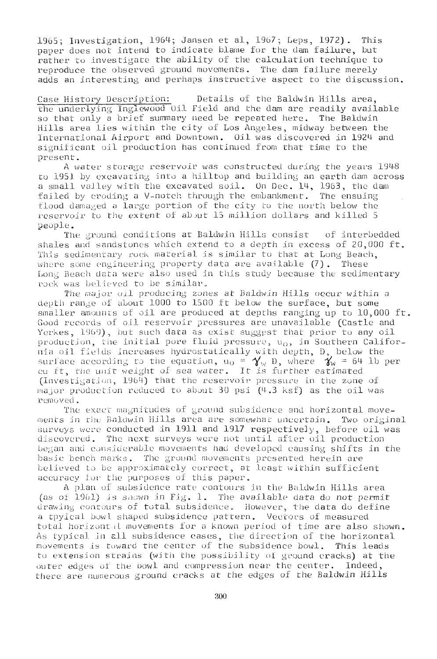1965; Investigation, 1964; Jansen et al, 19b7; Leps, 1972). This paper does not intend to indicate blame for the dam failure, but rather to investigate the ability of the calculation technique to reproduce the observed ground movements. The dam failure merely adds an interesting and perhaps instructive aspect to the discussion.

Case History Description: Details of the Baldwin Hills area, the underlying Inglewood Oil Field and the dam are readily available so that only a brief summary need be repeated here. The Baldwin Hills area lies within the city of Los Angeles, midway between the International Airport and Downtown. Oil was discovered in 1924 and significant oil production has continued from that time to the present.

A water storage reservoir was constructed during the years 1948 to 195.) by excavating into a hilltop and building an earth dam across a small valley with the excavated soil. On Dee. 14, 1963, the dam failed by eroding a V-notch through the embankment. The ensuing flood damaged a large portion of the city to the north below the reservoir to the extent of about 15 million dollars and killed 5 people.

The ground conditions at Baldwin Hills consist of Interbedded shales and sandstones which extend to a depth in excess of 20,000 ft. This sedimentary rock material is similar to that at Long Beach, where some engineering property data are available  $(7)$ . These Long Beach data were also used in this study because the sedimentary rock was believed to be similar.

The major oil producing zones at Baldwin Hills occur within a depth range of about 1000 to 1500 ft below the surface, but some smaller amounts of oil are produced at depths ranging up to 10,000 ft. Good records of oil reservoir pressures are unavailable (Castle and Yorkes, 1909), but such data as exist suggest that prior to any oil production, the initial pore fluid pressure,  $u_0$ , in Southern California oil fields increases hydrostaiically with depth, D, below the surface according to the equation,  ${\sf u}_0$  =  $\bm{\gamma}_{\sf w}$  D, where  $-\bm{\gamma}_{\sf w}$  = 64 lb per eu ft, the unit weight of sea water. It is further estimated (Investigation, 1964) that the reservoir pressure in the zone of major production reduced to about 30 psi (4.3 ksf) as the oil was removed .

The exact magnitudes of ground subsidence and horizontal movements in rhc Baldwin Hills area are somewhat uncertain. Two original surveys were conducted in 1911 and 1917 respectively, before oil was discovered. The next surveys were not until after oil production began and considerable movements had developed causing shifts in the basic bench marks. The ground movements presented herein are believed to be approximately correct, at least within sufficient accuracy tor the purposes of this paper.

A plan of subsidence rate contours in the Baldwin Hills area (as of 1961) is snown in Fig. 1. The available data do not permit drawing contours of total subsidence. However, the data do define a tpyical bowl shaped subsidence pattern. Vectors of measured total horizont il movements for a known period of time are also shown. As typical in ell subsidence eases, the direction of the horizontal movements is toward the center of the subsidence bowl. This leads to extension strains (with the possibility of ground cracks) at the outer edges of the bowl and compression near the center. Indeed, there are numerous ground cracks at the edges of the Baldwin Hills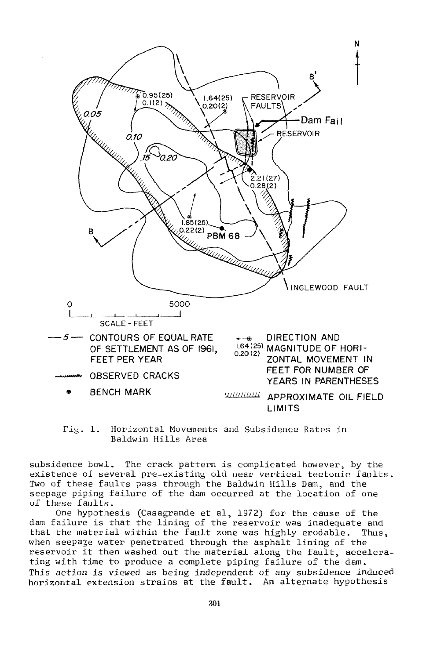

Fig. 1. Horizontal Movements and Subsidence Rates in Baldwin Hills Area

subsidence bowl. The crack pattern is complicated however, by the existence of several pre-existing old near vertical tectonic faults. Two of these faults pass through the Baldwin Hills Dam, and the seepage piping failure of the dam occurred at the location of one of these faults.

One hypothesis (Casagrande et al, 1972) for the cause of the dam failure is that the lining of the reservoir was inadequate and that the material within the fault zone was highly erodable. Thus, when seepage water penetrated through the asphalt lining of the reservoir it then washed out the material along the fault, accelerating with time to produce a complete piping failure of the dam. This action is viewed as being independent of any subsidence induced horizontal extension strains at the fault. An alternate hypothesis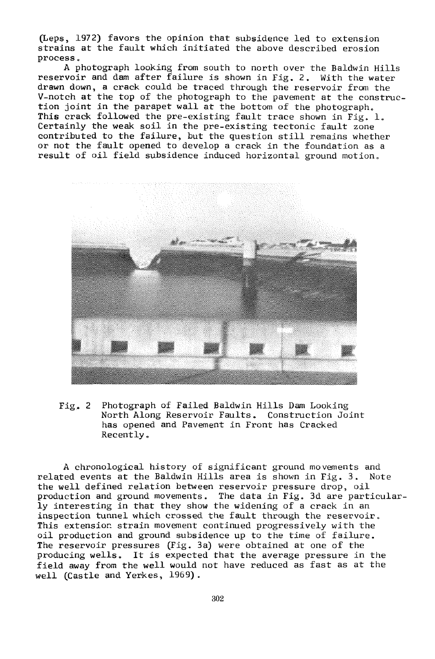(Leps, 1972) favors the opinion that subsidence led to extension strains at the fault which initiated the above described erosion process.

A photograph looking from south to north over the Baldwin Hills reservoir and dam after failure is shown in Fig. 2. With the water drawn down, a crack could be traced through the reservoir from the V-notch at the top of the photograph to the pavement at the construction joint in the parapet wall at the bottom of the photograph. This crack followed the pre-existing fault trace shown in Fig. 1. Certainly the weak soil in the pre-existing tectonic fault zone contributed to the failure, but the question still remains whether or not the fault opened to develop a crack in the foundation as a result of oil field subsidence induced horizontal ground motion.



Fig, 2 Photograph of Failed Baldwin Hills Dam Looking North Along Reservoir Faults. Construction Joint has opened and Pavement in Front has Cracked Recently.

A chronological history of significant ground movements and related events at the Baldwin Hills area is shown in Fig. 3. Note the well defined relation between reservoir pressure drop, oil production and ground movements. The data in Fig. 3d are particularly interesting in that they show the widening of a crack in an inspection tunnel which crossed the fault through the reservoir. This extension strain movement continued progressively with the oil production and ground subsidence up to the time of failure. The reservoir pressures (Fig. 3a) were obtained at one of the producing wells. It is expected that the average pressure in the field away from the well would not have reduced as fast as at the well (Castle and Yerkes, 1969).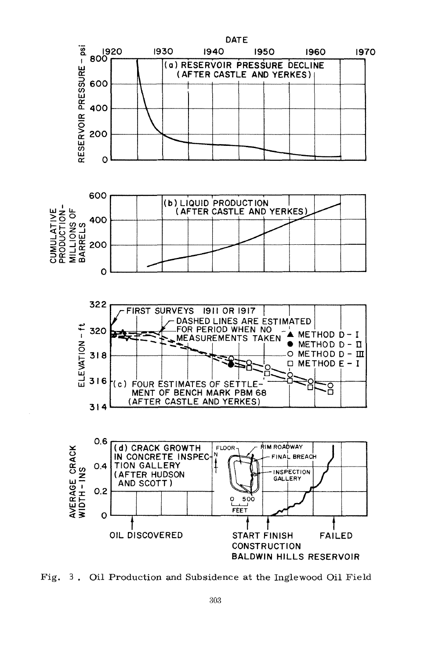







Fig. 3. Oil Production and Subsidence at the Inglewood Oil Field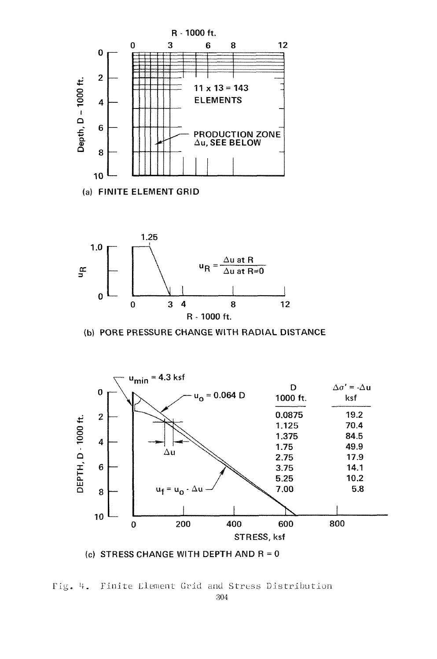

(a) FINITE ELEMENT GRID



(b) PORE PRESSURE CHANGE WITH RADIAL DISTANCE



(c) STRESS CHANGE WITH DEPTH AND  $R = 0$ 

Fig. 4. Finite Element Grid and Stress Distribution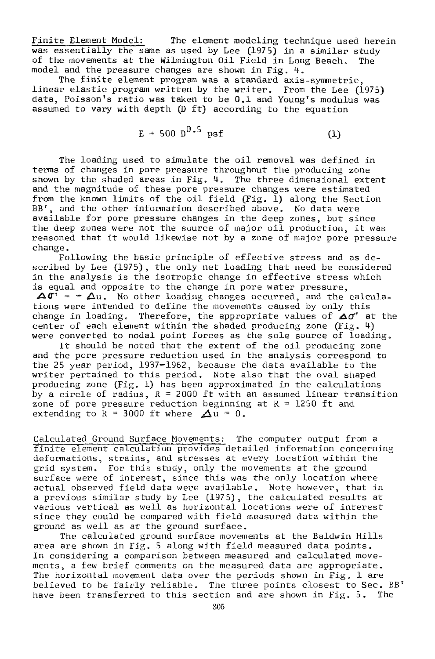Finite Element Model: The element modeling technique used herein was essentially the same as used by Lee (1975) in a similar study of the movements at the Wilmington Oil Field in Long Beach. The model and the pressure changes are shown in Fig. 1.

The finite element program was a standard axis-symmetric, linear elastic program written by the writer. From the Lee (1975) data, Poisson's ratio was taken to be 0.1 and Young's modulus was assumed to vary with depth (D ft) according to the equation

$$
E = 500 \, \text{D}^{0.5} \, \text{psf} \tag{1}
$$

The loading used to simulate the oil removal was defined in terms of changes in pore pressure throughout the producing zone shown by the shaded areas in Fig. 4. The three dimensional extent and the magnitude of these pore pressure changes were estimated from the known limits of the oil field  $(Fig, 1)$  along the Section BB', and the other information described above. No data were available for pore pressure changes in the deep zones, but since the deep zones were not the source of major oil production, it was reasoned that it would likewise not by a zone of major pore pressure change.

Following the basic principle of effective stress and as described by Lee (1975), the only net loading that need be considered in the analysis is the isotropic change in effective stress which is equal and opposite to the change in pore water pressure,  $\Delta \sigma' = -\Delta u$ . No other loading changes occurred, and the calculations were intended to define the movements caused by only this change in loading. Therefore, the appropriate values of  $\Delta \sigma^{r}$  at the center of each element within the shaded producing zone  $(Fig. 4)$ were converted to nodal point forces as the sole source of loading.

It should be noted that the extent of the oil producing zone and the pore pressure reduction used in the analysis correspond to the 25 year period, 1937—1962, because the data available to the writer pertained to this period. Note also that the oval shaped producing zone (Fig. 1) has been approximated in the calculations by a circle of radius,  $R = 2000$  ft with an assumed linear transition zone of pore pressure reduction beginning at  $R = 1250$  ft and extending to  $R = 3000$  ft where  $\Delta u = 0$ .

Calculated Ground Surface Movements: The computer output from a finite element calculation provides detailed information concerning deformations, strains, and stresses at every location within the grid system. For this study, only the movements at the ground surface were of interest, since this was the only location where actual observed field data were available. Note however, that in a previous similar study by Lee (1975), the calculated results at various vertical as well as horizontal locations were of interest since they could be compared with field measured data within the ground as well as at the ground surface.

The calculated ground surface movements at the Baldwin Hills area are shown in Fig. 5 along with field measured data points. In considering a comparison between measured and calculated movements, a few brief comments on the measured data are appropriate. The horizontal movement data over the periods shown in Fig. 1 are believed to be fairly reliable. The three points closest to Sec. BB! have been transferred to this section and are shown in Fig. 5. The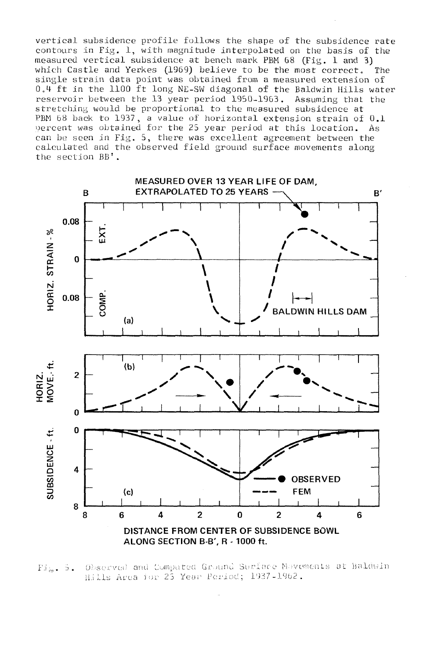vertical subsidence profile follows the shape of the subsidence rate contours in Fig. 1, with magnitude interpolated on the basis of the measured vertical subsidence at bench mark PBM 68 (Fig. 1 and 3) which Castle and Yerkes (1969) believe to be the most correct. The single strain data point was obtained from a measured extension of 0.4 ft in the 1100 ft long NE-SW diagonal of the Baldwin Hills water reservoir between the 13 year period 1950-1963. Assuming that the stretching would be proportional to the measured subsidence at PBM 68 back to 1937, a value of horizontal extension strain of 0.1 bercent was obtained for the 25 year period at this location. As can be seen in Fig. 5, there was excellent agreement between the calculated and the observed field ground surface movements along the section BB'.



Observed and Computed Ground Surface Movements at Baldwin  $Fix. 5.$ Hills Area for 25 Year Period; 1937-1962.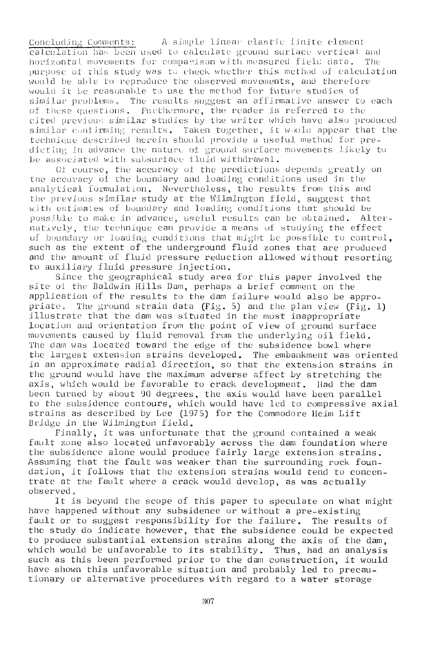Concluding Comments: A simple linear elastic finite element calculation has been used to calculate ground surface vertical and horizontal movements for comparison with measured field data. The purpose of this study was to check whether this method of calculation would be able to reproduce the observed movements, and therefore would it be reasonable to use the method for future studies of similar problems. The results suggest an affirmative answer to each of these; questions. Furthermore, the reader is referred to the cited previous similar studies by the writer which have also produced similar confirming results. Taken together, it would appear that the technique described herein should provide a useful method for predicting in advance the nature of ground surface movements likely to be associated with subsurface fluid withdrawal.

Of course, the accuracy of the predictions depends greatly on the accuracy of the boundary and loading conditions used in the analytical formulation. Nevertheless, the results from this and the previous similar study at the Wilmington field, suggest that with estimates of boundary and loading conditions that should be possible to make in advance, useful results can be obtained. Alternatively, the technique can provide a means of studying the effect of boundary *ov* loading conditions that mi girt be possible to control, such as the extent of the underground fluid zones that are produced and the amount of fluid pressure reduction allowed without resorting to auxiliary fluid pressure injection.

Since the geographical study area for this paper involved the site oi the Baldwin Hills Dam, perhaps a brief comment on the application of the results to the dam failure would also be appropriate. The ground strain data (Fig. 5) and the plan view (Fig. 1) illustrate that the dam was situated in the most inappropriate location and orientation from the point of view of ground surface movements caused by fluid removal from the underlying oil field. The dan was located toward the edge of the subsidence bowl where the largest extension strains developed. The embankment was oriented in an approximate radial direction, so that the extension strains in the ground would have the maximum adverse affect by stretching the axis, which would be favorable to crack development. Had the dam been turned by about 90 degrees, the axis would have been parallel to the subsidence contours, which would have led to compressive axial strains as described by bee (1975) for the Commodore Heim Lift Bridge in the Wilmington field.

Finally, it was unfortunate that the ground contained a weak fault zone also located unfavorably across the dam foundation where the subsidence alone would produce fairly large extension strains. Assuming that the fault was weaker than the surrounding rock foundation, it follows that the extension strains would tend to concentrate at the fault where a crack would develop, as was actually observed.

It is beyond the scope of this paper to speculate on what might have happened without any subsidence or without a pre-existing fault or to suggest responsibility for the failure. The results of the study do indicate however, that the subsidence could be expected to produce substantial extension strains along the axis of the dam, which would be unfavorable to its stability. Thus, had an analysis such as this been performed prior to the dan construction, it would have shown this unfavorable situation and probably led to precautionary or alternative procedures with regard to a water storage